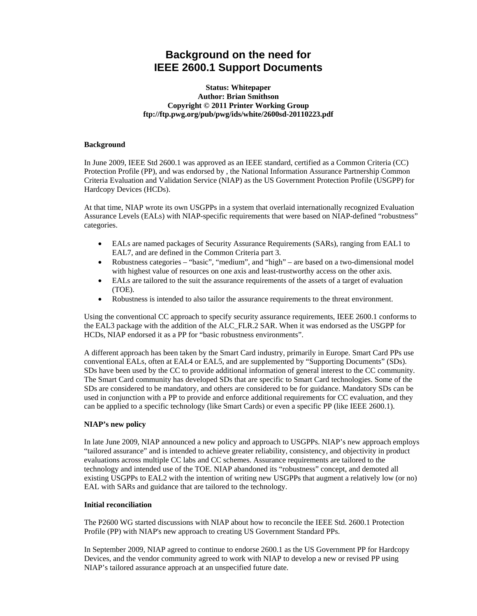# **Background on the need for IEEE 2600.1 Support Documents**

## **Status: Whitepaper Author: Brian Smithson Copyright © 2011 Printer Working Group ftp://ftp.pwg.org/pub/pwg/ids/white/2600sd-20110223.pdf**

## **Background**

In June 2009, IEEE Std 2600.1 was approved as an IEEE standard, certified as a Common Criteria (CC) Protection Profile (PP), and was endorsed by , the National Information Assurance Partnership Common Criteria Evaluation and Validation Service (NIAP) as the US Government Protection Profile (USGPP) for Hardcopy Devices (HCDs).

At that time, NIAP wrote its own USGPPs in a system that overlaid internationally recognized Evaluation Assurance Levels (EALs) with NIAP-specific requirements that were based on NIAP-defined "robustness" categories.

- EALs are named packages of Security Assurance Requirements (SARs), ranging from EAL1 to EAL7, and are defined in the Common Criteria part 3.
- Robustness categories "basic", "medium", and "high" are based on a two-dimensional model with highest value of resources on one axis and least-trustworthy access on the other axis.
- EALs are tailored to the suit the assurance requirements of the assets of a target of evaluation (TOE).
- Robustness is intended to also tailor the assurance requirements to the threat environment.

Using the conventional CC approach to specify security assurance requirements, IEEE 2600.1 conforms to the EAL3 package with the addition of the ALC\_FLR.2 SAR. When it was endorsed as the USGPP for HCDs, NIAP endorsed it as a PP for "basic robustness environments".

A different approach has been taken by the Smart Card industry, primarily in Europe. Smart Card PPs use conventional EALs, often at EAL4 or EAL5, and are supplemented by "Supporting Documents" (SDs). SDs have been used by the CC to provide additional information of general interest to the CC community. The Smart Card community has developed SDs that are specific to Smart Card technologies. Some of the SDs are considered to be mandatory, and others are considered to be for guidance. Mandatory SDs can be used in conjunction with a PP to provide and enforce additional requirements for CC evaluation, and they can be applied to a specific technology (like Smart Cards) or even a specific PP (like IEEE 2600.1).

#### **NIAP's new policy**

In late June 2009, NIAP announced a new policy and approach to USGPPs. NIAP's new approach employs "tailored assurance" and is intended to achieve greater reliability, consistency, and objectivity in product evaluations across multiple CC labs and CC schemes. Assurance requirements are tailored to the technology and intended use of the TOE. NIAP abandoned its "robustness" concept, and demoted all existing USGPPs to EAL2 with the intention of writing new USGPPs that augment a relatively low (or no) EAL with SARs and guidance that are tailored to the technology.

## **Initial reconciliation**

The P2600 WG started discussions with NIAP about how to reconcile the IEEE Std. 2600.1 Protection Profile (PP) with NIAP's new approach to creating US Government Standard PPs.

In September 2009, NIAP agreed to continue to endorse 2600.1 as the US Government PP for Hardcopy Devices, and the vendor community agreed to work with NIAP to develop a new or revised PP using NIAP's tailored assurance approach at an unspecified future date.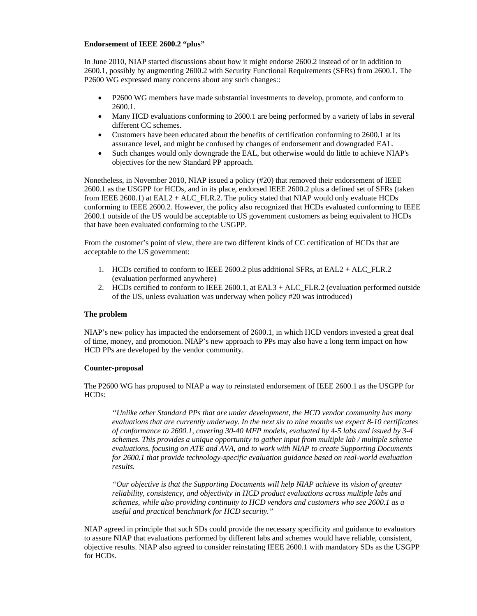#### **Endorsement of IEEE 2600.2 "plus"**

In June 2010, NIAP started discussions about how it might endorse 2600.2 instead of or in addition to 2600.1, possibly by augmenting 2600.2 with Security Functional Requirements (SFRs) from 2600.1. The P2600 WG expressed many concerns about any such changes::

- P2600 WG members have made substantial investments to develop, promote, and conform to 2600.1.
- Many HCD evaluations conforming to 2600.1 are being performed by a variety of labs in several different CC schemes.
- Customers have been educated about the benefits of certification conforming to 2600.1 at its assurance level, and might be confused by changes of endorsement and downgraded EAL.
- Such changes would only downgrade the EAL, but otherwise would do little to achieve NIAP's objectives for the new Standard PP approach.

Nonetheless, in November 2010, NIAP issued a policy (#20) that removed their endorsement of IEEE 2600.1 as the USGPP for HCDs, and in its place, endorsed IEEE 2600.2 plus a defined set of SFRs (taken from IEEE 2600.1) at EAL2 + ALC\_FLR.2. The policy stated that NIAP would only evaluate HCDs conforming to IEEE 2600.2. However, the policy also recognized that HCDs evaluated conforming to IEEE 2600.1 outside of the US would be acceptable to US government customers as being equivalent to HCDs that have been evaluated conforming to the USGPP.

From the customer's point of view, there are two different kinds of CC certification of HCDs that are acceptable to the US government:

- 1. HCDs certified to conform to IEEE 2600.2 plus additional SFRs, at EAL2 + ALC\_FLR.2 (evaluation performed anywhere)
- 2. HCDs certified to conform to IEEE 2600.1, at EAL3 + ALC\_FLR.2 (evaluation performed outside of the US, unless evaluation was underway when policy #20 was introduced)

#### **The problem**

NIAP's new policy has impacted the endorsement of 2600.1, in which HCD vendors invested a great deal of time, money, and promotion. NIAP's new approach to PPs may also have a long term impact on how HCD PPs are developed by the vendor community.

#### **Counter-proposal**

The P2600 WG has proposed to NIAP a way to reinstated endorsement of IEEE 2600.1 as the USGPP for HCDs:

*"Unlike other Standard PPs that are under development, the HCD vendor community has many evaluations that are currently underway. In the next six to nine months we expect 8-10 certificates of conformance to 2600.1, covering 30-40 MFP models, evaluated by 4-5 labs and issued by 3-4 schemes. This provides a unique opportunity to gather input from multiple lab / multiple scheme evaluations, focusing on ATE and AVA, and to work with NIAP to create Supporting Documents for 2600.1 that provide technology-specific evaluation guidance based on real-world evaluation results.* 

*"Our objective is that the Supporting Documents will help NIAP achieve its vision of greater reliability, consistency, and objectivity in HCD product evaluations across multiple labs and schemes, while also providing continuity to HCD vendors and customers who see 2600.1 as a useful and practical benchmark for HCD security."* 

NIAP agreed in principle that such SDs could provide the necessary specificity and guidance to evaluators to assure NIAP that evaluations performed by different labs and schemes would have reliable, consistent, objective results. NIAP also agreed to consider reinstating IEEE 2600.1 with mandatory SDs as the USGPP for HCDs.